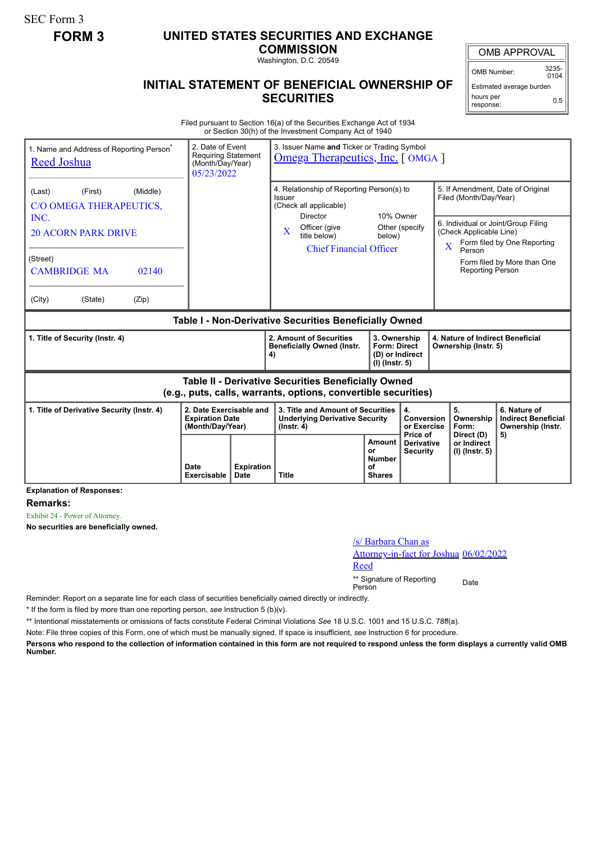SEC Form 3

# **FORM 3 UNITED STATES SECURITIES AND EXCHANGE**

**COMMISSION** Washington, D.C. 20549

OMB APPROVAL

OMB Number: 3235-  $0104$ 

0.5

Estimated average burden

hours per response:

## **INITIAL STATEMENT OF BENEFICIAL OWNERSHIP OF SECURITIES**

Filed pursuant to Section 16(a) of the Securities Exchange Act of 1934 or Section 30(h) of the Investment Company Act of 1940

| 1. Name and Address of Reporting Person <sup>®</sup><br><b>Reed Joshua</b>                                            | 2. Date of Event<br><b>Requiring Statement</b><br>(Month/Day/Year)<br>05/23/2022 |  | 3. Issuer Name and Ticker or Trading Symbol<br>Omega Therapeutics, Inc. [OMGA]                                |                                                                            |                                             |                                                                                                                                    |                                                                       |
|-----------------------------------------------------------------------------------------------------------------------|----------------------------------------------------------------------------------|--|---------------------------------------------------------------------------------------------------------------|----------------------------------------------------------------------------|---------------------------------------------|------------------------------------------------------------------------------------------------------------------------------------|-----------------------------------------------------------------------|
| (Middle)<br>(First)<br>(Last)<br>C/O OMEGA THERAPEUTICS,<br>INC.                                                      |                                                                                  |  | 4. Relationship of Reporting Person(s) to<br>Issuer<br>(Check all applicable)<br>10% Owner<br><b>Director</b> |                                                                            |                                             | 5. If Amendment, Date of Original<br>Filed (Month/Day/Year)                                                                        |                                                                       |
| <b>20 ACORN PARK DRIVE</b>                                                                                            |                                                                                  |  | Officer (give<br>X<br>title below)<br><b>Chief Financial Officer</b>                                          | Other (specify<br>below)                                                   |                                             | 6. Individual or Joint/Group Filing<br>(Check Applicable Line)<br>Form filed by One Reporting<br>$\overline{\mathbf{X}}$<br>Person |                                                                       |
| (Street)<br><b>CAMBRIDGE MA</b><br>02140                                                                              |                                                                                  |  |                                                                                                               |                                                                            |                                             | <b>Reporting Person</b>                                                                                                            | Form filed by More than One                                           |
| (City)<br>(State)<br>(Zip)                                                                                            |                                                                                  |  |                                                                                                               |                                                                            |                                             |                                                                                                                                    |                                                                       |
| Table I - Non-Derivative Securities Beneficially Owned                                                                |                                                                                  |  |                                                                                                               |                                                                            |                                             |                                                                                                                                    |                                                                       |
| 1. Title of Security (Instr. 4)                                                                                       |                                                                                  |  | 2. Amount of Securities<br><b>Beneficially Owned (Instr.</b><br>4)                                            | 3. Ownership<br><b>Form: Direct</b><br>(D) or Indirect<br>$(I)$ (lnstr. 5) |                                             | 4. Nature of Indirect Beneficial<br>Ownership (Instr. 5)                                                                           |                                                                       |
| Table II - Derivative Securities Beneficially Owned<br>(e.g., puts, calls, warrants, options, convertible securities) |                                                                                  |  |                                                                                                               |                                                                            |                                             |                                                                                                                                    |                                                                       |
| 1. Title of Derivative Security (Instr. 4)                                                                            | 2. Date Exercisable and<br><b>Expiration Date</b><br>(Month/Day/Year)            |  | 3. Title and Amount of Securities<br><b>Underlying Derivative Security</b><br>$($ lnstr. 4 $)$                |                                                                            | 4.<br>Conversion<br>or Exercise<br>Price of | 5.<br>Ownership<br>Form:<br>Direct (D)                                                                                             | 6. Nature of<br><b>Indirect Beneficial</b><br>Ownership (Instr.<br>5) |
|                                                                                                                       |                                                                                  |  |                                                                                                               | Amount                                                                     | <b>Derivative</b>                           | or Indirect                                                                                                                        |                                                                       |

**Explanation of Responses:**

**Remarks:**

Exhibit 24 - Power of Attorney.

**No securities are beneficially owned.**

## /s/ Barbara Chan as Attorney-in-fact for Joshua 06/02/2022

Reed

\*\* Signature of Reporting Person Date

Reminder: Report on a separate line for each class of securities beneficially owned directly or indirectly.

\* If the form is filed by more than one reporting person, *see* Instruction 5 (b)(v).

\*\* Intentional misstatements or omissions of facts constitute Federal Criminal Violations *See* 18 U.S.C. 1001 and 15 U.S.C. 78ff(a).

Note: File three copies of this Form, one of which must be manually signed. If space is insufficient, *see* Instruction 6 for procedure.

**Persons who respond to the collection of information contained in this form are not required to respond unless the form displays a currently valid OMB Number.**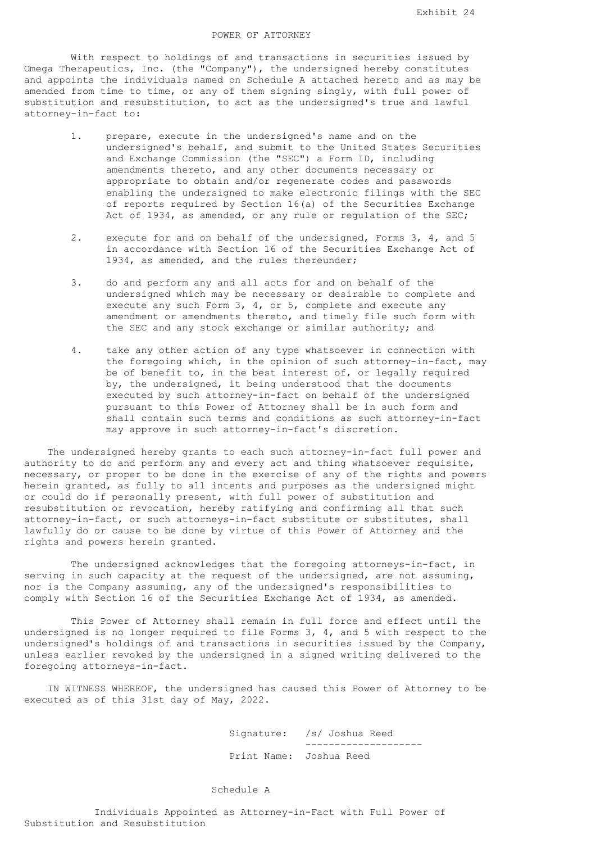### POWER OF ATTORNEY

 With respect to holdings of and transactions in securities issued by Omega Therapeutics, Inc. (the "Company"), the undersigned hereby constitutes and appoints the individuals named on Schedule A attached hereto and as may be amended from time to time, or any of them signing singly, with full power of substitution and resubstitution, to act as the undersigned's true and lawful attorney-in-fact to:

- 1. prepare, execute in the undersigned's name and on the undersigned's behalf, and submit to the United States Securities and Exchange Commission (the "SEC") a Form ID, including amendments thereto, and any other documents necessary or appropriate to obtain and/or regenerate codes and passwords enabling the undersigned to make electronic filings with the SEC of reports required by Section 16(a) of the Securities Exchange Act of 1934, as amended, or any rule or regulation of the SEC;
- 2. execute for and on behalf of the undersigned, Forms 3, 4, and 5 in accordance with Section 16 of the Securities Exchange Act of 1934, as amended, and the rules thereunder;
- 3. do and perform any and all acts for and on behalf of the undersigned which may be necessary or desirable to complete and execute any such Form 3, 4, or 5, complete and execute any amendment or amendments thereto, and timely file such form with the SEC and any stock exchange or similar authority; and
- 4. take any other action of any type whatsoever in connection with the foregoing which, in the opinion of such attorney-in-fact, may be of benefit to, in the best interest of, or legally required by, the undersigned, it being understood that the documents executed by such attorney-in-fact on behalf of the undersigned pursuant to this Power of Attorney shall be in such form and shall contain such terms and conditions as such attorney-in-fact may approve in such attorney-in-fact's discretion.

 The undersigned hereby grants to each such attorney-in-fact full power and authority to do and perform any and every act and thing whatsoever requisite, necessary, or proper to be done in the exercise of any of the rights and powers herein granted, as fully to all intents and purposes as the undersigned might or could do if personally present, with full power of substitution and resubstitution or revocation, hereby ratifying and confirming all that such attorney-in-fact, or such attorneys-in-fact substitute or substitutes, shall lawfully do or cause to be done by virtue of this Power of Attorney and the rights and powers herein granted.

 The undersigned acknowledges that the foregoing attorneys-in-fact, in serving in such capacity at the request of the undersigned, are not assuming, nor is the Company assuming, any of the undersigned's responsibilities to comply with Section 16 of the Securities Exchange Act of 1934, as amended.

 This Power of Attorney shall remain in full force and effect until the undersigned is no longer required to file Forms 3, 4, and 5 with respect to the undersigned's holdings of and transactions in securities issued by the Company, unless earlier revoked by the undersigned in a signed writing delivered to the foregoing attorneys-in-fact.

 IN WITNESS WHEREOF, the undersigned has caused this Power of Attorney to be executed as of this 31st day of May, 2022.

> Signature: /s/ Joshua Reed -------------------- Print Name: Joshua Reed

### Schedule A

 Individuals Appointed as Attorney-in-Fact with Full Power of Substitution and Resubstitution